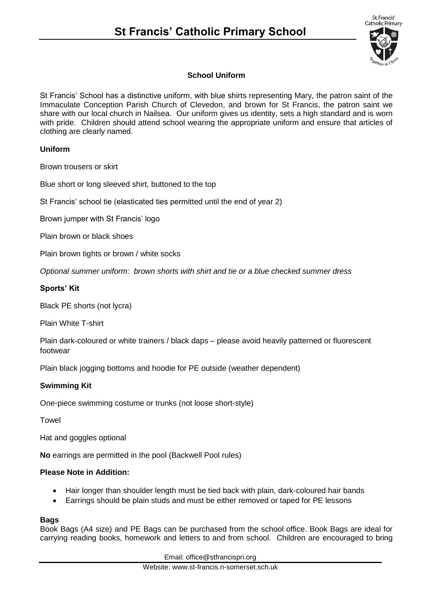

# **School Uniform**

St Francis' School has a distinctive uniform, with blue shirts representing Mary, the patron saint of the Immaculate Conception Parish Church of Clevedon, and brown for St Francis, the patron saint we share with our local church in Nailsea. Our uniform gives us identity, sets a high standard and is worn with pride. Children should attend school wearing the appropriate uniform and ensure that articles of clothing are clearly named.

## **Uniform**

Brown trousers or skirt

Blue short or long sleeved shirt, buttoned to the top

St Francis' school tie (elasticated ties permitted until the end of year 2)

Brown jumper with St Francis' logo

Plain brown or black shoes

Plain brown tights or brown / white socks

*Optional summer uniform: brown shorts with shirt and tie or a blue checked summer dress* 

## **Sports' Kit**

Black PE shorts (not lycra)

Plain White T-shirt

Plain dark-coloured or white trainers / black daps – please avoid heavily patterned or fluorescent footwear

Plain black jogging bottoms and hoodie for PE outside (weather dependent)

#### **Swimming Kit**

One-piece swimming costume or trunks (not loose short-style)

Towel

Hat and goggles optional

**No** earrings are permitted in the pool (Backwell Pool rules)

#### **Please Note in Addition:**

- Hair longer than shoulder length must be tied back with plain, dark-coloured hair bands
- Earrings should be plain studs and must be either removed or taped for PE lessons

#### **Bags**

Book Bags (A4 size) and PE Bags can be purchased from the school office. Book Bags are ideal for carrying reading books, homework and letters to and from school. Children are encouraged to bring

Email: office@stfrancispri.org